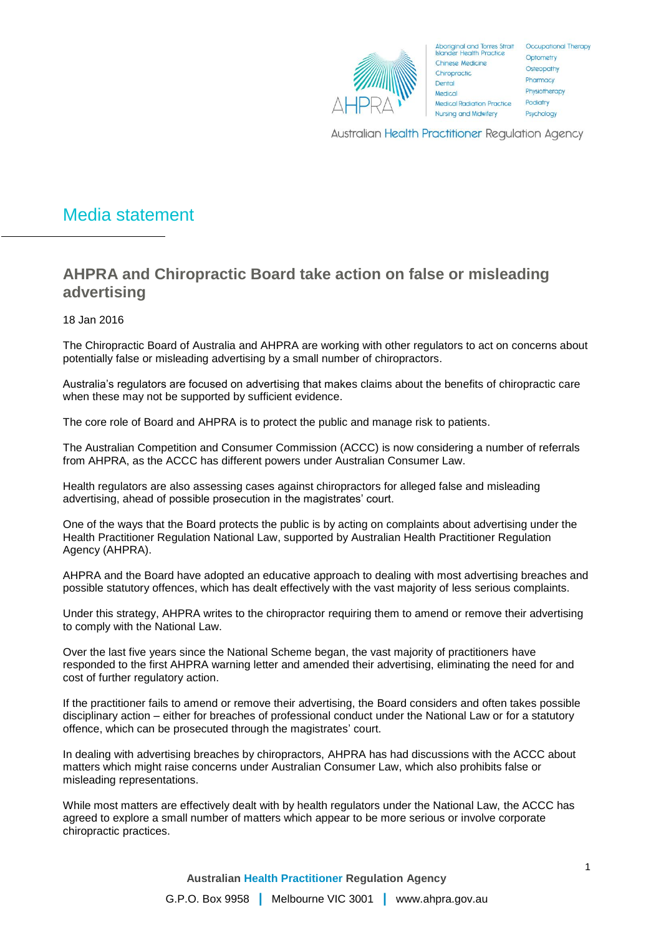

Aboriginal and Torres Strait Occupational Therapy<br>Islander Health Practice Chinese Medicine Chiropractic. Dental Medical **Medical Radiation Practice Nursing and Midwifery** 

Optometry Osteopathy Pharmacy Physiotherapy Podiatry Psychology

Australian Health Practitioner Regulation Agency

# Media statement

## **AHPRA and Chiropractic Board take action on false or misleading advertising**

18 Jan 2016

The Chiropractic Board of Australia and AHPRA are working with other regulators to act on concerns about potentially false or misleading advertising by a small number of chiropractors.

Australia's regulators are focused on advertising that makes claims about the benefits of chiropractic care when these may not be supported by sufficient evidence.

The core role of Board and AHPRA is to protect the public and manage risk to patients.

The Australian Competition and Consumer Commission (ACCC) is now considering a number of referrals from AHPRA, as the ACCC has different powers under Australian Consumer Law.

Health regulators are also assessing cases against chiropractors for alleged false and misleading advertising, ahead of possible prosecution in the magistrates' court.

One of the ways that the Board protects the public is by acting on complaints about advertising under the Health Practitioner Regulation National Law, supported by Australian Health Practitioner Regulation Agency (AHPRA).

AHPRA and the Board have adopted an educative approach to dealing with most advertising breaches and possible statutory offences, which has dealt effectively with the vast majority of less serious complaints.

Under this strategy, AHPRA writes to the chiropractor requiring them to amend or remove their advertising to comply with the National Law.

Over the last five years since the National Scheme began, the vast majority of practitioners have responded to the first AHPRA warning letter and amended their advertising, eliminating the need for and cost of further regulatory action.

If the practitioner fails to amend or remove their advertising, the Board considers and often takes possible disciplinary action – either for breaches of professional conduct under the National Law or for a statutory offence, which can be prosecuted through the magistrates' court.

In dealing with advertising breaches by chiropractors, AHPRA has had discussions with the ACCC about matters which might raise concerns under Australian Consumer Law, which also prohibits false or misleading representations.

While most matters are effectively dealt with by health regulators under the National Law, the ACCC has agreed to explore a small number of matters which appear to be more serious or involve corporate chiropractic practices.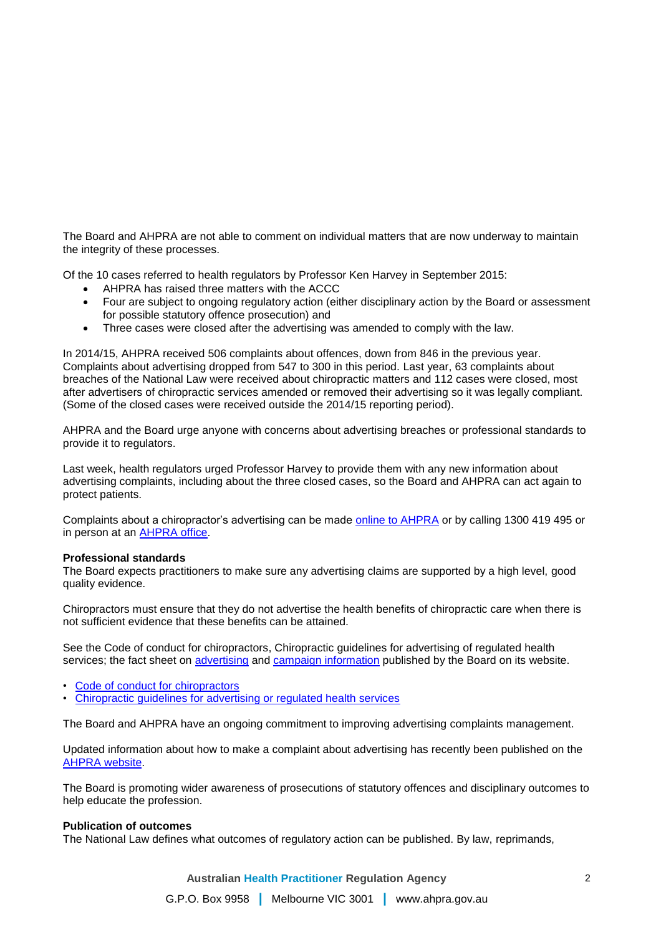The Board and AHPRA are not able to comment on individual matters that are now underway to maintain the integrity of these processes.

Of the 10 cases referred to health regulators by Professor Ken Harvey in September 2015:

- AHPRA has raised three matters with the ACCC
- Four are subject to ongoing regulatory action (either disciplinary action by the Board or assessment for possible statutory offence prosecution) and
- Three cases were closed after the advertising was amended to comply with the law.

In 2014/15, AHPRA received 506 complaints about offences, down from 846 in the previous year. Complaints about advertising dropped from 547 to 300 in this period. Last year, 63 complaints about breaches of the National Law were received about chiropractic matters and 112 cases were closed, most after advertisers of chiropractic services amended or removed their advertising so it was legally compliant. (Some of the closed cases were received outside the 2014/15 reporting period).

AHPRA and the Board urge anyone with concerns about advertising breaches or professional standards to provide it to regulators.

Last week, health regulators urged Professor Harvey to provide them with any new information about advertising complaints, including about the three closed cases, so the Board and AHPRA can act again to protect patients.

Complaints about a chiropractor's advertising can be made [online to AHPRA](http://mosquito/Notifications/What-is-a-notification/Common-types-of-notification/What-is-an-offence.aspx) or by calling 1300 419 495 or in person at an [AHPRA office.](http://mosquito/About-AHPRA/Regulatory-principles.aspx)

#### **Professional standards**

The Board expects practitioners to make sure any advertising claims are supported by a high level, good quality evidence.

Chiropractors must ensure that they do not advertise the health benefits of chiropractic care when there is not sufficient evidence that these benefits can be attained.

See the Code of conduct for chiropractors, Chiropractic guidelines for advertising of regulated health services; the fact sheet on [advertising](http://mosquito/Publications/AHPRA-FAQ-and-Fact-Sheets/advertising-fact-sheet.aspx) and [campaign information](http://mosquito/sitecore/content/Chiropractic/News/2015-10-20-media-release.aspx) published by the Board on its website.

- [Code of conduct for chiropractors](http://www.chiropracticboard.gov.au/documents/default.aspx?record=WD10%2f1270&dbid=AP&chksum=BB5xYFsBaJui93%2fuvfmFHA%3d%3d)
- [Chiropractic guidelines for advertising or regulated health services](http://www.chiropracticboard.gov.au/documents/default.aspx?record=WD10%2f2667&dbid=AP&chksum=OZC46P%2bn5kbf3Wqa21iNqg%3d%3d)

The Board and AHPRA have an ongoing commitment to improving advertising complaints management.

Updated information about how to make a complaint about advertising has recently been published on the [AHPRA website.](http://mosquito/Notifications/What-is-a-notification/Common-types-of-notification/What-is-an-offence.aspx)

The Board is promoting wider awareness of prosecutions of statutory offences and disciplinary outcomes to help educate the profession.

#### **Publication of outcomes**

The National Law defines what outcomes of regulatory action can be published. By law, reprimands,